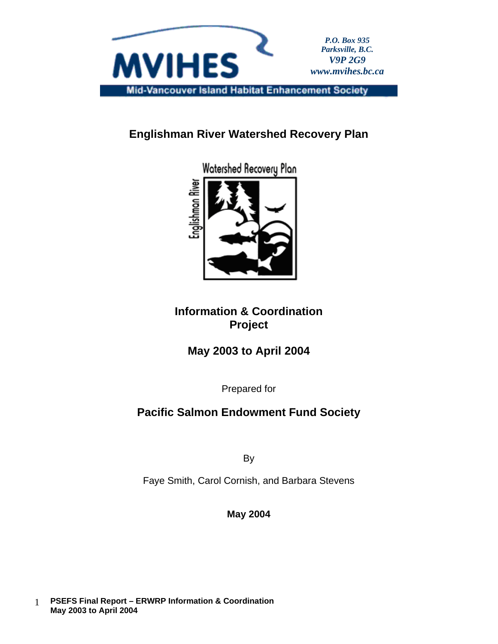

**Englishman River Watershed Recovery Plan**



Watershed Recovery Plan

**Information & Coordination Project**

**May 2003 to April 2004** 

Prepared for

# **Pacific Salmon Endowment Fund Society**

By

Faye Smith, Carol Cornish, and Barbara Stevens

**May 2004**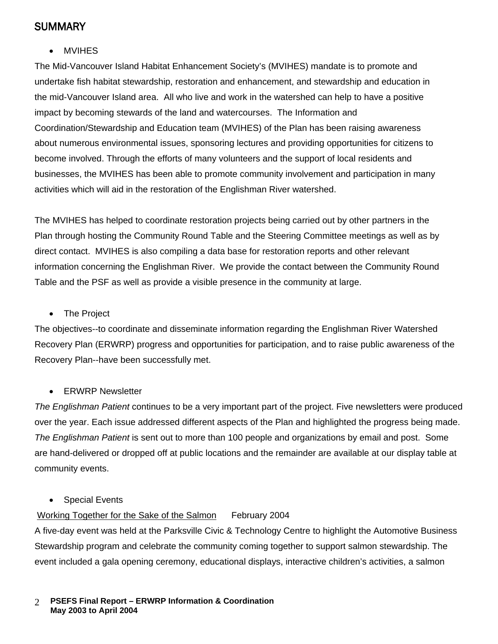## **SUMMARY**

• MVIHES

The Mid-Vancouver Island Habitat Enhancement Society's (MVIHES) mandate is to promote and undertake fish habitat stewardship, restoration and enhancement, and stewardship and education in the mid-Vancouver Island area. All who live and work in the watershed can help to have a positive impact by becoming stewards of the land and watercourses. The Information and Coordination/Stewardship and Education team (MVIHES) of the Plan has been raising awareness about numerous environmental issues, sponsoring lectures and providing opportunities for citizens to become involved. Through the efforts of many volunteers and the support of local residents and businesses, the MVIHES has been able to promote community involvement and participation in many activities which will aid in the restoration of the Englishman River watershed.

The MVIHES has helped to coordinate restoration projects being carried out by other partners in the Plan through hosting the Community Round Table and the Steering Committee meetings as well as by direct contact. MVIHES is also compiling a data base for restoration reports and other relevant information concerning the Englishman River. We provide the contact between the Community Round Table and the PSF as well as provide a visible presence in the community at large.

• The Project

The objectives--to coordinate and disseminate information regarding the Englishman River Watershed Recovery Plan (ERWRP) progress and opportunities for participation, and to raise public awareness of the Recovery Plan--have been successfully met.

#### • ERWRP Newsletter

*The Englishman Patient* continue*s* to be a very important part of the project. Five newsletters were produced over the year. Each issue addressed different aspects of the Plan and highlighted the progress being made. *The Englishman Patient* is sent out to more than 100 people and organizations by email and post. Some are hand-delivered or dropped off at public locations and the remainder are available at our display table at community events.

**Special Events** 

#### Working Together for the Sake of the Salmon February 2004

A five-day event was held at the Parksville Civic & Technology Centre to highlight the Automotive Business Stewardship program and celebrate the community coming together to support salmon stewardship. The event included a gala opening ceremony, educational displays, interactive children's activities, a salmon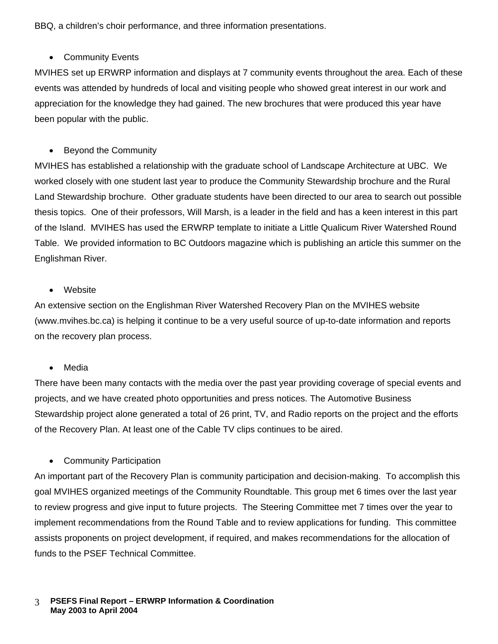BBQ, a children's choir performance, and three information presentations.

### • Community Events

MVIHES set up ERWRP information and displays at 7 community events throughout the area. Each of these events was attended by hundreds of local and visiting people who showed great interest in our work and appreciation for the knowledge they had gained. The new brochures that were produced this year have been popular with the public.

## • Beyond the Community

MVIHES has established a relationship with the graduate school of Landscape Architecture at UBC. We worked closely with one student last year to produce the Community Stewardship brochure and the Rural Land Stewardship brochure. Other graduate students have been directed to our area to search out possible thesis topics. One of their professors, Will Marsh, is a leader in the field and has a keen interest in this part of the Island. MVIHES has used the ERWRP template to initiate a Little Qualicum River Watershed Round Table. We provided information to BC Outdoors magazine which is publishing an article this summer on the Englishman River.

### • Website

An extensive section on the Englishman River Watershed Recovery Plan on the MVIHES website (www.mvihes.bc.ca) is helping it continue to be a very useful source of up-to-date information and reports on the recovery plan process.

### • Media

There have been many contacts with the media over the past year providing coverage of special events and projects, and we have created photo opportunities and press notices. The Automotive Business Stewardship project alone generated a total of 26 print, TV, and Radio reports on the project and the efforts of the Recovery Plan. At least one of the Cable TV clips continues to be aired.

• Community Participation

An important part of the Recovery Plan is community participation and decision-making. To accomplish this goal MVIHES organized meetings of the Community Roundtable. This group met 6 times over the last year to review progress and give input to future projects. The Steering Committee met 7 times over the year to implement recommendations from the Round Table and to review applications for funding. This committee assists proponents on project development, if required, and makes recommendations for the allocation of funds to the PSEF Technical Committee.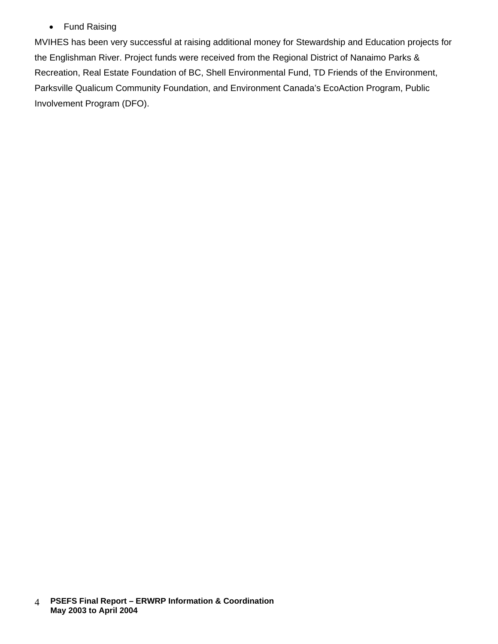## • Fund Raising

MVIHES has been very successful at raising additional money for Stewardship and Education projects for the Englishman River. Project funds were received from the Regional District of Nanaimo Parks & Recreation, Real Estate Foundation of BC, Shell Environmental Fund, TD Friends of the Environment, Parksville Qualicum Community Foundation, and Environment Canada's EcoAction Program, Public Involvement Program (DFO).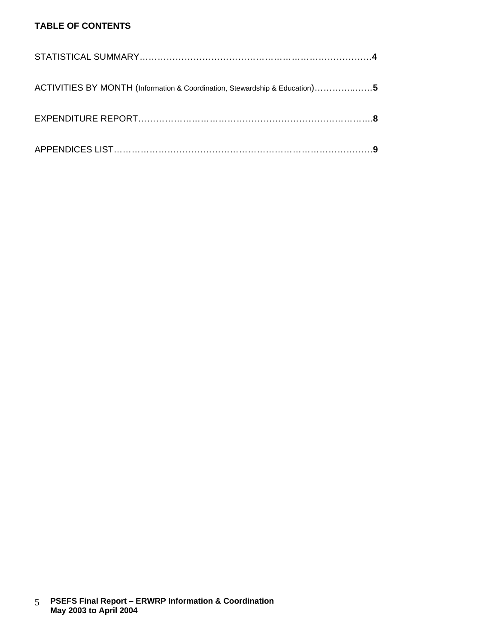## **TABLE OF CONTENTS**

| ACTIVITIES BY MONTH (Information & Coordination, Stewardship & Education)5 |  |
|----------------------------------------------------------------------------|--|
|                                                                            |  |
|                                                                            |  |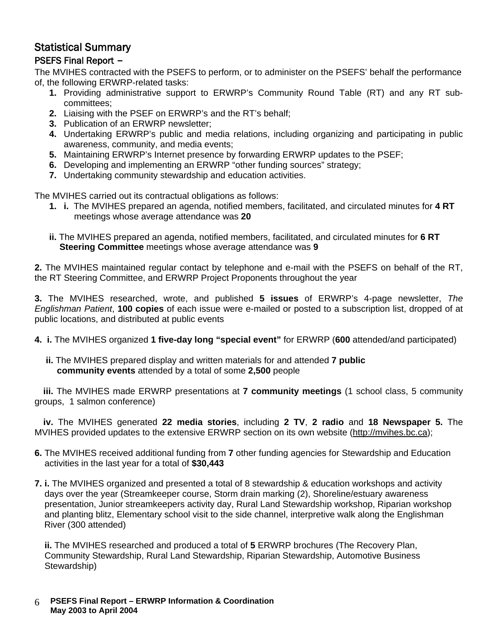# Statistical Summary

### PSEFS Final Report –

The MVIHES contracted with the PSEFS to perform, or to administer on the PSEFS' behalf the performance of, the following ERWRP-related tasks:

- **1.** Providing administrative support to ERWRP's Community Round Table (RT) and any RT subcommittees;
- **2.** Liaising with the PSEF on ERWRP's and the RT's behalf;
- **3.** Publication of an ERWRP newsletter;
- **4.** Undertaking ERWRP's public and media relations, including organizing and participating in public awareness, community, and media events;
- **5.** Maintaining ERWRP's Internet presence by forwarding ERWRP updates to the PSEF;
- **6.** Developing and implementing an ERWRP "other funding sources" strategy;
- **7.** Undertaking community stewardship and education activities.

The MVIHES carried out its contractual obligations as follows:

- **1. i.** The MVIHES prepared an agenda, notified members, facilitated, and circulated minutes for **4 RT** meetings whose average attendance was **20**
- **ii.** The MVIHES prepared an agenda, notified members, facilitated, and circulated minutes for **6 RT Steering Committee** meetings whose average attendance was **9**

**2.** The MVIHES maintained regular contact by telephone and e-mail with the PSEFS on behalf of the RT, the RT Steering Committee, and ERWRP Project Proponents throughout the year

**3.** The MVIHES researched, wrote, and published **5 issues** of ERWRP's 4-page newsletter, *The Englishman Patient*, **100 copies** of each issue were e-mailed or posted to a subscription list, dropped of at public locations, and distributed at public events

- **4. i.** The MVIHES organized **1 five-day long "special event"** for ERWRP (**600** attended/and participated)
	- **ii.** The MVIHES prepared display and written materials for and attended **7 public community events** attended by a total of some **2,500** people

**iii.** The MVIHES made ERWRP presentations at **7 community meetings** (1 school class, 5 community groups, 1 salmon conference)

**iv.** The MVIHES generated **22 media stories**, including **2 TV**, **2 radio** and **18 Newspaper 5.** The MVIHES provided updates to the extensive ERWRP section on its own website [\(http://mvihes.bc.ca\)](http://mvihes.bc.ca/);

- **6.** The MVIHES received additional funding from **7** other funding agencies for Stewardship and Education activities in the last year for a total of **\$30,443**
- **7. i.** The MVIHES organized and presented a total of 8 stewardship & education workshops and activity days over the year (Streamkeeper course, Storm drain marking (2), Shoreline/estuary awareness presentation, Junior streamkeepers activity day, Rural Land Stewardship workshop, Riparian workshop and planting blitz, Elementary school visit to the side channel, interpretive walk along the Englishman River (300 attended)

 **ii.** The MVIHES researched and produced a total of **5** ERWRP brochures (The Recovery Plan, Community Stewardship, Rural Land Stewardship, Riparian Stewardship, Automotive Business Stewardship)

 **PSEFS Final Report – ERWRP Information & Coordination May 2003 to April 2004** 6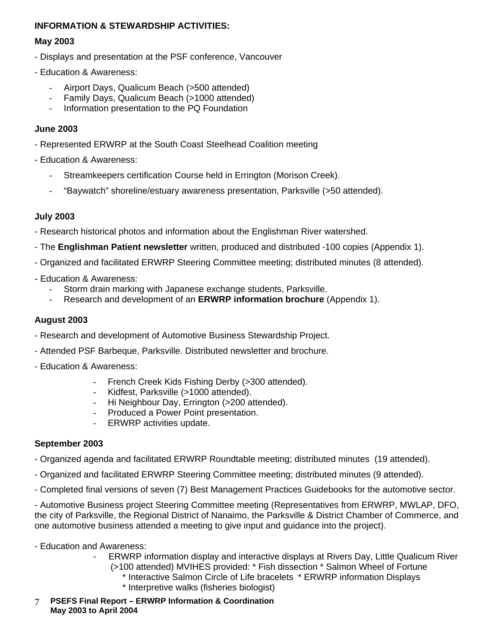#### **INFORMATION & STEWARDSHIP ACTIVITIES:**

#### **May 2003**

- Displays and presentation at the PSF conference, Vancouver
- Education & Awareness:
	- Airport Days, Qualicum Beach (>500 attended)<br>- Family Days, Qualicum Beach (>1000 attended
	- Family Days, Qualicum Beach (>1000 attended)
	- Information presentation to the PQ Foundation

#### **June 2003**

- Represented ERWRP at the South Coast Steelhead Coalition meeting
- Education & Awareness:
	- Streamkeepers certification Course held in Errington (Morison Creek).
	- "Baywatch" shoreline/estuary awareness presentation, Parksville (>50 attended).

### **July 2003**

- Research historical photos and information about the Englishman River watershed.
- The **Englishman Patient newsletter** written, produced and distributed -100 copies (Appendix 1).
- Organized and facilitated ERWRP Steering Committee meeting; distributed minutes (8 attended).
- Education & Awareness:
	- Storm drain marking with Japanese exchange students, Parksville.
	- Research and development of an **ERWRP information brochure** (Appendix 1).

### **August 2003**

- Research and development of Automotive Business Stewardship Project.
- Attended PSF Barbeque, Parksville. Distributed newsletter and brochure.
- Education & Awareness:
	- French Creek Kids Fishing Derby (>300 attended).
	- Kidfest, Parksville (>1000 attended).
	- Hi Neighbour Day, Errington (>200 attended).
	- Produced a Power Point presentation.
	- ERWRP activities update.

### **September 2003**

- Organized agenda and facilitated ERWRP Roundtable meeting; distributed minutes (19 attended).
- Organized and facilitated ERWRP Steering Committee meeting; distributed minutes (9 attended).
- Completed final versions of seven (7) Best Management Practices Guidebooks for the automotive sector.

- Automotive Business project Steering Committee meeting (Representatives from ERWRP, MWLAP, DFO, the city of Parksville, the Regional District of Nanaimo, the Parksville & District Chamber of Commerce, and one automotive business attended a meeting to give input and guidance into the project).

- Education and Awareness:
	- ERWRP information display and interactive displays at Rivers Day, Little Qualicum River (>100 attended) MVIHES provided: \* Fish dissection \* Salmon Wheel of Fortune
		- \* Interactive Salmon Circle of Life bracelets \* ERWRP information Displays
			- \* Interpretive walks (fisheries biologist)
- **PSEFS Final Report – ERWRP Information & Coordination May 2003 to April 2004** 7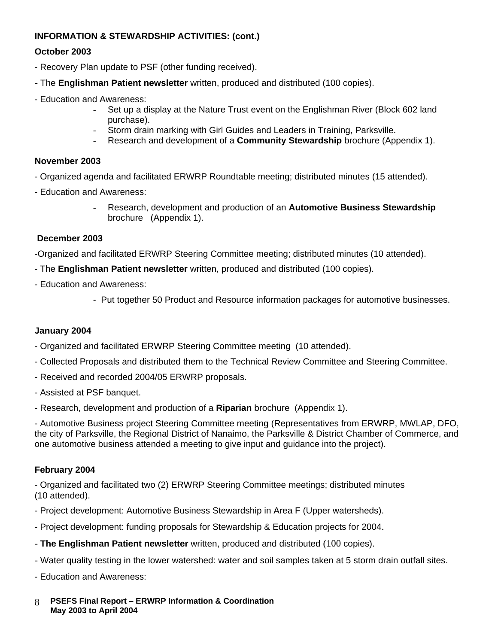### **INFORMATION & STEWARDSHIP ACTIVITIES: (cont.)**

#### **October 2003**

- Recovery Plan update to PSF (other funding received).
- The **Englishman Patient newsletter** written, produced and distributed (100 copies).
- Education and Awareness:
	- Set up a display at the Nature Trust event on the Englishman River (Block 602 land purchase).
	- Storm drain marking with Girl Guides and Leaders in Training, Parksville.
	- Research and development of a **Community Stewardship** brochure (Appendix 1).

#### **November 2003**

- Organized agenda and facilitated ERWRP Roundtable meeting; distributed minutes (15 attended).
- Education and Awareness:
	- Research, development and production of an **Automotive Business Stewardship** brochure (Appendix 1).

#### **December 2003**

-Organized and facilitated ERWRP Steering Committee meeting; distributed minutes (10 attended).

- The **Englishman Patient newsletter** written, produced and distributed (100 copies).
- Education and Awareness:
	- Put together 50 Product and Resource information packages for automotive businesses.

#### **January 2004**

- Organized and facilitated ERWRP Steering Committee meeting (10 attended).
- Collected Proposals and distributed them to the Technical Review Committee and Steering Committee.
- Received and recorded 2004/05 ERWRP proposals.
- Assisted at PSF banquet.
- Research, development and production of a **Riparian** brochure (Appendix 1).

- Automotive Business project Steering Committee meeting (Representatives from ERWRP, MWLAP, DFO, the city of Parksville, the Regional District of Nanaimo, the Parksville & District Chamber of Commerce, and one automotive business attended a meeting to give input and guidance into the project).

#### **February 2004**

- Organized and facilitated two (2) ERWRP Steering Committee meetings; distributed minutes (10 attended).

- Project development: Automotive Business Stewardship in Area F (Upper watersheds).
- Project development: funding proposals for Stewardship & Education projects for 2004.
- **The Englishman Patient newsletter** written, produced and distributed (100 copies).
- Water quality testing in the lower watershed: water and soil samples taken at 5 storm drain outfall sites.
- Education and Awareness:
- **PSEFS Final Report – ERWRP Information & Coordination May 2003 to April 2004** 8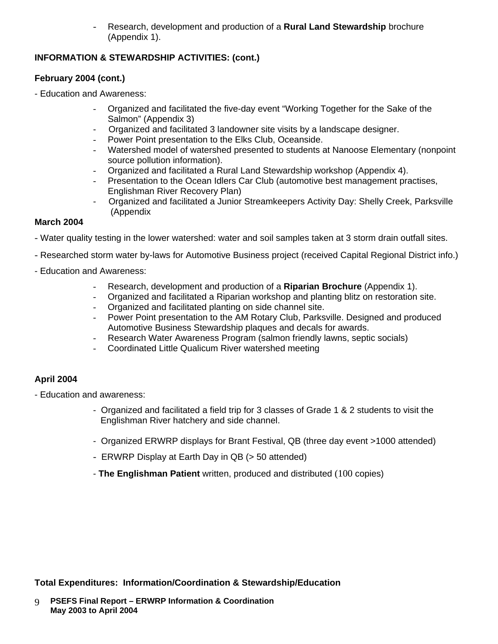Research, development and production of a **Rural Land Stewardship** brochure (Appendix 1).

### **INFORMATION & STEWARDSHIP ACTIVITIES: (cont.)**

#### **February 2004 (cont.)**

- Education and Awareness:

- Organized and facilitated the five-day event "Working Together for the Sake of the Salmon" (Appendix 3)
- Organized and facilitated 3 landowner site visits by a landscape designer.
- Power Point presentation to the Elks Club, Oceanside.
- Watershed model of watershed presented to students at Nanoose Elementary (nonpoint source pollution information).
- Organized and facilitated a Rural Land Stewardship workshop (Appendix 4).
- Presentation to the Ocean Idlers Car Club (automotive best management practises, Englishman River Recovery Plan)
- Organized and facilitated a Junior Streamkeepers Activity Day: Shelly Creek, Parksville (Appendix

#### **March 2004**

- Water quality testing in the lower watershed: water and soil samples taken at 3 storm drain outfall sites.
- Researched storm water by-laws for Automotive Business project (received Capital Regional District info.)
- Education and Awareness:
	- Research, development and production of a **Riparian Brochure** (Appendix 1).
	- Organized and facilitated a Riparian workshop and planting blitz on restoration site.
	- Organized and facilitated planting on side channel site.
	- Power Point presentation to the AM Rotary Club, Parksville. Designed and produced Automotive Business Stewardship plaques and decals for awards.
	- Research Water Awareness Program (salmon friendly lawns, septic socials)
	- Coordinated Little Qualicum River watershed meeting

## **April 2004**

- Education and awareness:
	- Organized and facilitated a field trip for 3 classes of Grade 1 & 2 students to visit the Englishman River hatchery and side channel.
	- -Organized ERWRP displays for Brant Festival, QB (three day event >1000 attended)
	- ERWRP Display at Earth Day in QB (> 50 attended)
	- **The Englishman Patient** written, produced and distributed (100 copies)

**Total Expenditures: Information/Coordination & Stewardship/Education**

 **PSEFS Final Report – ERWRP Information & Coordination May 2003 to April 2004** 9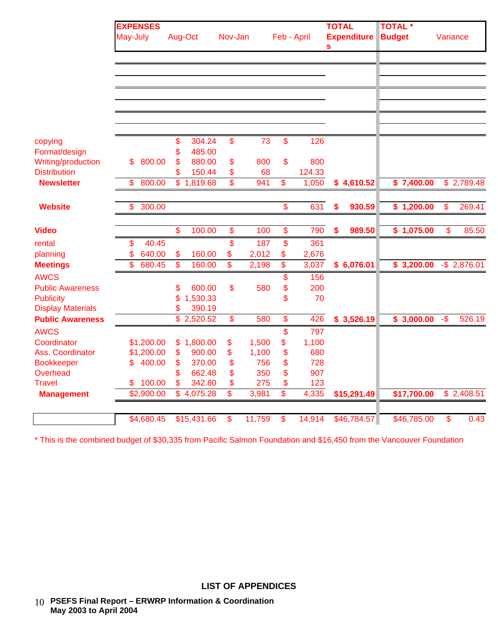|                                                     | <b>EXPENSES</b> |                    |                                   |                         |        |                           |             | <b>TOTAL</b>            | <b>TOTAL</b> * |                 |
|-----------------------------------------------------|-----------------|--------------------|-----------------------------------|-------------------------|--------|---------------------------|-------------|-------------------------|----------------|-----------------|
|                                                     | May-July        |                    | Aug-Oct                           | Nov-Jan                 |        |                           | Feb - April | <b>Expenditure</b><br>S | <b>Budget</b>  | Variance        |
|                                                     |                 |                    |                                   |                         |        |                           |             |                         |                |                 |
|                                                     |                 |                    |                                   |                         |        |                           |             |                         |                |                 |
|                                                     |                 |                    |                                   |                         |        |                           |             |                         |                |                 |
|                                                     |                 |                    |                                   |                         |        |                           |             |                         |                |                 |
|                                                     |                 |                    |                                   |                         |        |                           |             |                         |                |                 |
|                                                     |                 |                    |                                   |                         |        |                           |             |                         |                |                 |
| copying                                             |                 | \$                 | 304.24                            | \$                      | 73     | $\boldsymbol{\mathsf{S}}$ | 126         |                         |                |                 |
| Format/design                                       |                 | \$                 | 485.00                            |                         |        |                           |             |                         |                |                 |
| Writing/production                                  | 800.00<br>\$    | \$                 | 880.00                            | \$                      | 800    | \$                        | 800         |                         |                |                 |
| <b>Distribution</b>                                 |                 | \$                 | 150.44                            | \$                      | 68     |                           | 124.33      |                         |                |                 |
| <b>Newsletter</b>                                   | 800.00<br>\$    | $\mathbb{S}$       | 1,819.68                          | \$                      | 941    | \$                        | 1,050       | \$4,610.52              | \$7,400.00     | \$2,789.48      |
| <b>Website</b>                                      | \$<br>300.00    |                    |                                   |                         |        | \$                        | 631         | \$<br>930.59            | \$1,200.00     | \$<br>269.41    |
| <b>Video</b>                                        |                 | \$                 | 100.00                            | \$                      | 100    | \$                        | 790         | \$<br>989.50            | \$1,075.00     | \$<br>85.50     |
| rental                                              | \$<br>40.45     |                    |                                   | \$                      | 187    | $\mathbf{\$}$             | 361         |                         |                |                 |
| planning                                            | \$<br>640.00    | \$                 | 160.00                            | \$                      | 2,012  | \$                        | 2,676       |                         |                |                 |
| <b>Meetings</b>                                     | \$<br>680.45    | $\mathbf{\hat{s}}$ | 160.00                            | $\overline{\mathbf{s}}$ | 2,198  | \$                        | 3,037       | \$6,076.01              | \$3,200.00     | $-$ \$ 2,876.01 |
| <b>AWCS</b>                                         |                 |                    |                                   |                         |        | \$                        | 156         |                         |                |                 |
| <b>Public Awareness</b>                             |                 | \$                 | 600.00                            | \$                      | 580    | \$                        | 200         |                         |                |                 |
| <b>Publicity</b>                                    |                 | \$                 | 1,530.33                          |                         |        | \$                        | 70          |                         |                |                 |
| <b>Display Materials</b><br><b>Public Awareness</b> |                 | \$                 | 390.19<br>$\overline{$}$ 2,520.52 | \$                      | 580    | \$                        | 426         | \$3,526.19              | \$3,000.00     | $-5$<br>526.19  |
| <b>AWCS</b>                                         |                 |                    |                                   |                         |        | \$                        | 797         |                         |                |                 |
| Coordinator                                         | \$1,200.00      | \$                 | 1,800.00                          | \$                      | 1,500  | \$                        | 1,100       |                         |                |                 |
| Ass. Coordinator                                    | \$1,200.00      | \$                 | 900.00                            | \$                      | 1,100  | \$                        | 680         |                         |                |                 |
| <b>Bookkeeper</b>                                   | 400.00<br>\$    | \$                 | 370.00                            | \$                      | 756    | \$                        | 728         |                         |                |                 |
| Overhead                                            |                 | \$                 | 662.48                            | \$                      | 350    | \$                        | 907         |                         |                |                 |
| <b>Travel</b>                                       | 100.00<br>\$    | \$                 | 342.80                            | \$                      | 275    | \$                        | 123         |                         |                |                 |
| <b>Management</b>                                   | \$2,900.00      |                    | \$4,075.28                        | \$                      | 3,981  | \$                        | 4,335       | \$15,291.49             | \$17,700.00    | \$2,408.51      |
|                                                     | \$4,680.45      |                    | \$15,431.66                       | \$                      | 11,759 | \$                        | 14,914      | \$46,784.57             | \$46,785.00    | 0.43<br>\$      |
|                                                     |                 |                    |                                   |                         |        |                           |             |                         |                |                 |

\* This is the combined budget of \$30,335 from Pacific Salmon Foundation and \$16,450 from the Vancouver Foundation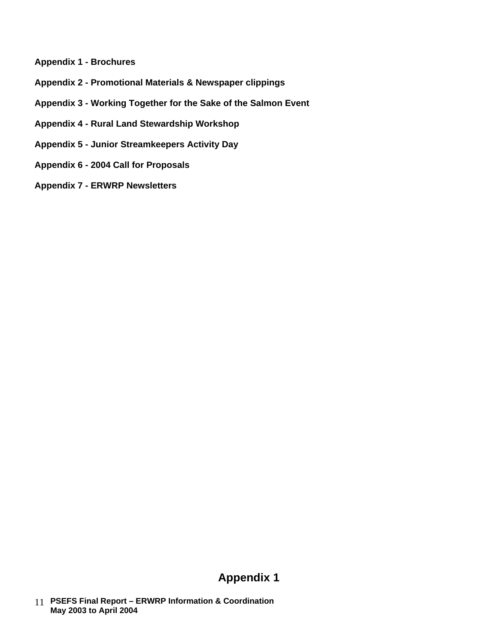- **Appendix 1 - Brochures**
- **Appendix 2 - Promotional Materials & Newspaper clippings**
- **Appendix 3 - Working Together for the Sake of the Salmon Event**
- **Appendix 4 - Rural Land Stewardship Workshop**
- **Appendix 5 - Junior Streamkeepers Activity Day**
- **Appendix 6 - 2004 Call for Proposals**
- **Appendix 7 - ERWRP Newsletters**

## **Appendix 1**

 **PSEFS Final Report – ERWRP Information & Coordination**  11  **May 2003 to April 2004**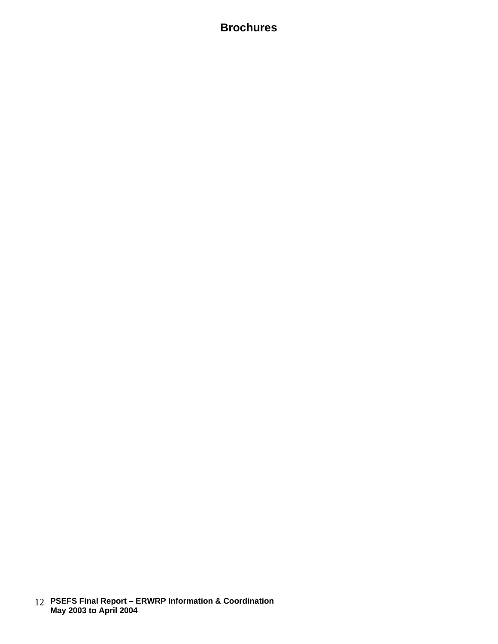## **Brochures**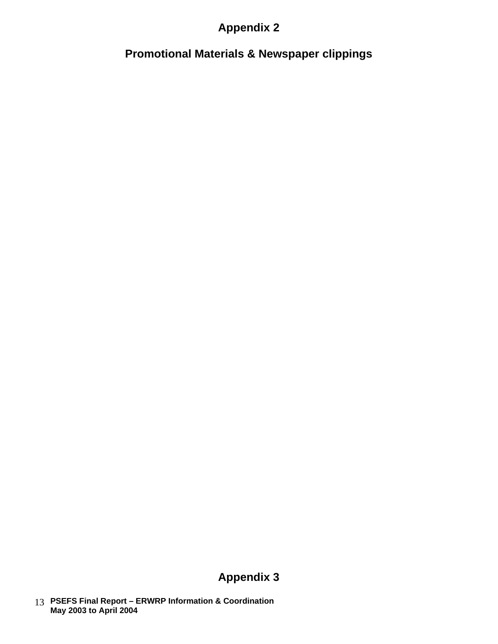## **Appendix 2**

**Promotional Materials & Newspaper clippings**

# **Appendix 3**

 **PSEFS Final Report – ERWRP Information & Coordination**  13  **May 2003 to April 2004**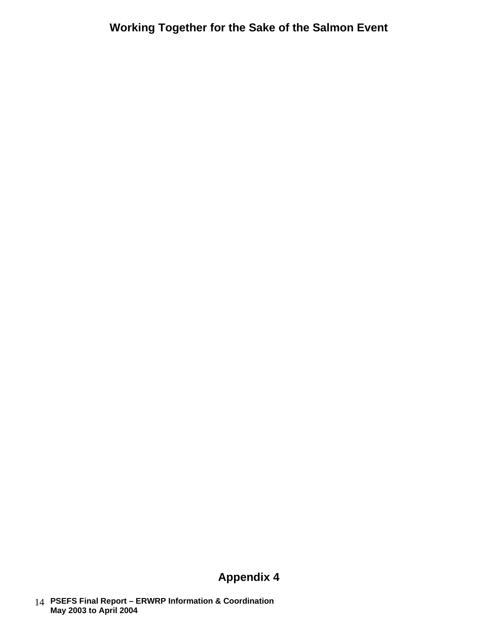# **Appendix 4**

 **PSEFS Final Report – ERWRP Information & Coordination**  14  **May 2003 to April 2004**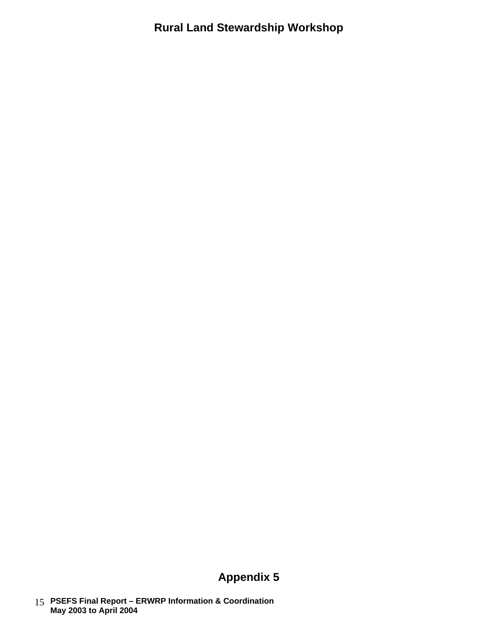**Rural Land Stewardship Workshop**

# **Appendix 5**

 **PSEFS Final Report – ERWRP Information & Coordination**  15  **May 2003 to April 2004**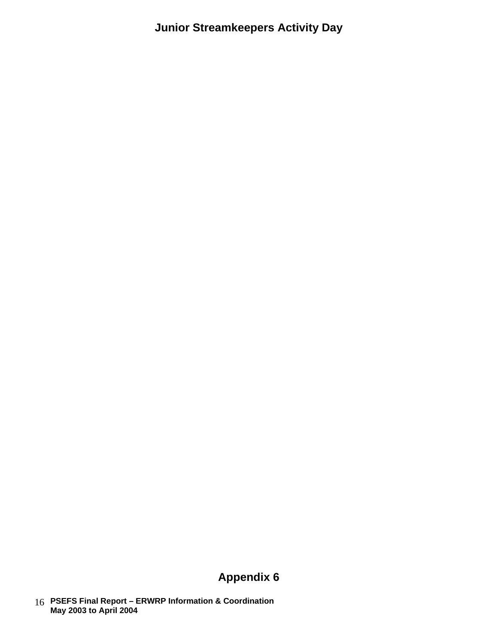**Junior Streamkeepers Activity Day**

# **Appendix 6**

 **PSEFS Final Report – ERWRP Information & Coordination**  16  **May 2003 to April 2004**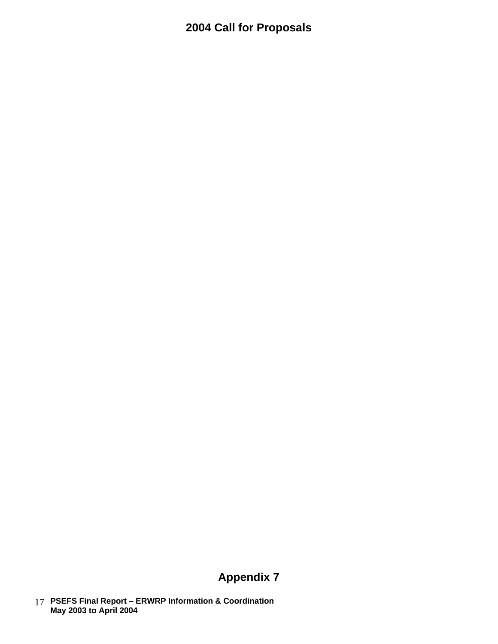# **2004 Call for Proposals**

# **Appendix 7**

 **PSEFS Final Report – ERWRP Information & Coordination**  17  **May 2003 to April 2004**